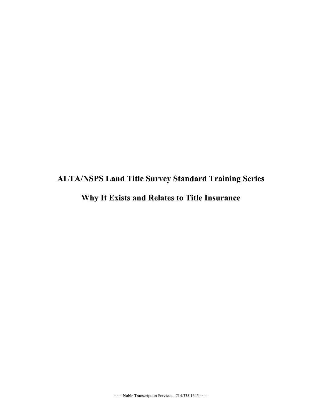## **ALTA/NSPS Land Title Survey Standard Training Series Why It Exists and Relates to Title Insurance**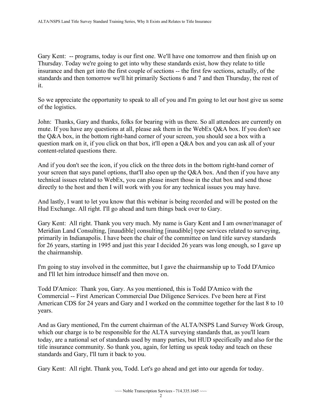Gary Kent: -- programs, today is our first one. We'll have one tomorrow and then finish up on insurance and then get into the first couple of sections -- the first few sections, actually, of the Thursday. Today we're going to get into why these standards exist, how they relate to title standards and then tomorrow we'll hit primarily Sections 6 and 7 and then Thursday, the rest of it.

So we appreciate the opportunity to speak to all of you and I'm going to let our host give us some of the logistics.

 John: Thanks, Gary and thanks, folks for bearing with us there. So all attendees are currently on mute. If you have any questions at all, please ask them in the WebEx Q&A box. If you don't see the Q&A box, in the bottom right-hand corner of your screen, you should see a box with a question mark on it, if you click on that box, it'll open a Q&A box and you can ask all of your content-related questions there.

And if you don't see the icon, if you click on the three dots in the bottom right-hand corner of your screen that says panel options, that'll also open up the Q&A box. And then if you have any technical issues related to WebEx, you can please insert those in the chat box and send those directly to the host and then I will work with you for any technical issues you may have.

And lastly, I want to let you know that this webinar is being recorded and will be posted on the Hud Exchange. All right. I'll go ahead and turn things back over to Gary.

Gary Kent: All right. Thank you very much. My name is Gary Kent and I am owner/manager of Meridian Land Consulting, [inaudible] consulting [inaudible] type services related to surveying, primarily in Indianapolis. I have been the chair of the committee on land title survey standards for 26 years, starting in 1995 and just this year I decided 26 years was long enough, so I gave up the chairmanship.

I'm going to stay involved in the committee, but I gave the chairmanship up to Todd D'Amico and I'll let him introduce himself and then move on.

Todd D'Amico: Thank you, Gary. As you mentioned, this is Todd D'Amico with the Commercial -- First American Commercial Due Diligence Services. I've been here at First American CDS for 24 years and Gary and I worked on the committee together for the last 8 to 10 years.

 which our charge is to be responsible for the ALTA surveying standards that, as you'll learn And as Gary mentioned, I'm the current chairman of the ALTA/NSPS Land Survey Work Group, today, are a national set of standards used by many parties, but HUD specifically and also for the title insurance community. So thank you, again, for letting us speak today and teach on these standards and Gary, I'll turn it back to you.

Gary Kent: All right. Thank you, Todd. Let's go ahead and get into our agenda for today.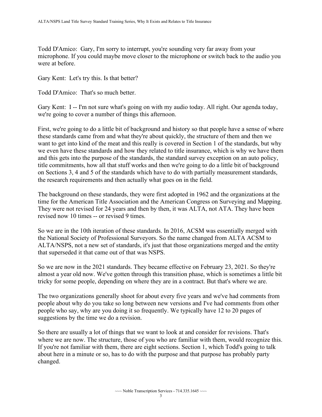were at before. Todd D'Amico: Gary, I'm sorry to interrupt, you're sounding very far away from your microphone. If you could maybe move closer to the microphone or switch back to the audio you

Gary Kent: Let's try this. Is that better?

Todd D'Amico: That's so much better.

Gary Kent: I -- I'm not sure what's going on with my audio today. All right. Our agenda today, we're going to cover a number of things this afternoon.

First, we're going to do a little bit of background and history so that people have a sense of where these standards came from and what they're about quickly, the structure of them and then we want to get into kind of the meat and this really is covered in Section 1 of the standards, but why we even have these standards and how they related to title insurance, which is why we have them and this gets into the purpose of the standards, the standard survey exception on an auto policy, title commitments, how all that stuff works and then we're going to do a little bit of background on Sections 3, 4 and 5 of the standards which have to do with partially measurement standards, the research requirements and then actually what goes on in the field.

 revised now 10 times -- or revised 9 times. The background on these standards, they were first adopted in 1962 and the organizations at the time for the American Title Association and the American Congress on Surveying and Mapping. They were not revised for 24 years and then by then, it was ALTA, not ATA. They have been

So we are in the 10th iteration of these standards. In 2016, ACSM was essentially merged with the National Society of Professional Surveyors. So the name changed from ALTA ACSM to ALTA/NSPS, not a new set of standards, it's just that those organizations merged and the entity that superseded it that came out of that was NSPS.

So we are now in the 2021 standards. They became effective on February 23, 2021. So they're almost a year old now. We've gotten through this transition phase, which is sometimes a little bit tricky for some people, depending on where they are in a contract. But that's where we are.

The two organizations generally shoot for about every five years and we've had comments from people about why do you take so long between new versions and I've had comments from other people who say, why are you doing it so frequently. We typically have 12 to 20 pages of suggestions by the time we do a revision.

So there are usually a lot of things that we want to look at and consider for revisions. That's where we are now. The structure, those of you who are familiar with them, would recognize this. If you're not familiar with them, there are eight sections. Section 1, which Todd's going to talk about here in a minute or so, has to do with the purpose and that purpose has probably party changed.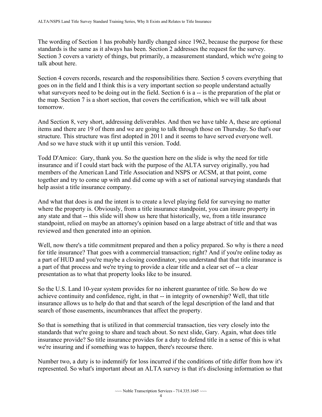The wording of Section 1 has probably hardly changed since 1962, because the purpose for these standards is the same as it always has been. Section 2 addresses the request for the survey. Section 3 covers a variety of things, but primarily, a measurement standard, which we're going to talk about here.

 what surveyors need to be doing out in the field. Section 6 is a -- is the preparation of the plat or Section 4 covers records, research and the responsibilities there. Section 5 covers everything that goes on in the field and I think this is a very important section so people understand actually the map. Section 7 is a short section, that covers the certification, which we will talk about tomorrow.

And Section 8, very short, addressing deliverables. And then we have table A, these are optional items and there are 19 of them and we are going to talk through those on Thursday. So that's our structure. This structure was first adopted in 2011 and it seems to have served everyone well. And so we have stuck with it up until this version. Todd.

 insurance and if I could start back with the purpose of the ALTA survey originally, you had members of the American Land Title Association and NSPS or ACSM, at that point, come Todd D'Amico: Gary, thank you. So the question here on the slide is why the need for title together and try to come up with and did come up with a set of national surveying standards that help assist a title insurance company.

And what that does is and the intent is to create a level playing field for surveying no matter where the property is. Obviously, from a title insurance standpoint, you can insure property in any state and that -- this slide will show us here that historically, we, from a title insurance standpoint, relied on maybe an attorney's opinion based on a large abstract of title and that was reviewed and then generated into an opinion.

 for title insurance? That goes with a commercial transaction; right? And if you're online today as a part of that process and we're trying to provide a clear title and a clear set of -- a clear presentation as to what that property looks like to be insured. Well, now there's a title commitment prepared and then a policy prepared. So why is there a need a part of HUD and you're maybe a closing coordinator, you understand that that title insurance is

 achieve continuity and confidence, right, in that -- in integrity of ownership? Well, that title So the U.S. Land 10-year system provides for no inherent guarantee of title. So how do we insurance allows us to help do that and that search of the legal description of the land and that search of those easements, incumbrances that affect the property.

So that is something that is utilized in that commercial transaction, ties very closely into the standards that we're going to share and teach about. So next slide, Gary. Again, what does title insurance provide? So title insurance provides for a duty to defend title in a sense of this is what we're insuring and if something was to happen, there's recourse there.

Number two, a duty is to indemnify for loss incurred if the conditions of title differ from how it's represented. So what's important about an ALTA survey is that it's disclosing information so that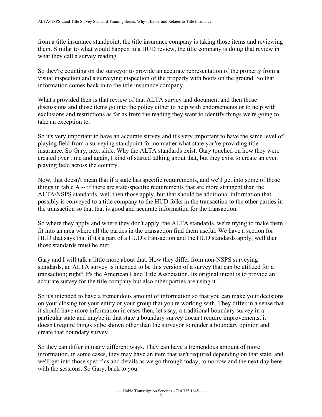from a title insurance standpoint, the title insurance company is taking those items and reviewing them. Similar to what would happen in a HUD review, the title company is doing that review in what they call a survey reading.

So they're counting on the surveyor to provide an accurate representation of the property from a visual inspection and a surveying inspection of the property with boots on the ground. So that information comes back in to the title insurance company.

What's provided then is that review of that ALTA survey and document and then those discussions and those items go into the policy either to help with endorsements or to help with exclusions and restrictions as far as from the reading they want to identify things we're going to take an exception to.

 created over time and again, I kind of started talking about that, but they exist to create an even playing field across the country. So it's very important to have an accurate survey and it's very important to have the same level of playing field from a surveying standpoint for no matter what state you're providing title insurance. So Gary, next slide. Why the ALTA standards exist. Gary touched on how they were

 things in table A -- if there are state-specific requirements that are more stringent than the Now, that doesn't mean that if a state has specific requirements, and we'll get into some of those ALTA/NSPS standards, well then those apply, but that should be additional information that possibly is conveyed to a title company to the HUD folks in the transaction to the other parties in the transaction so that that is good and accurate information for the transaction.

 HUD that says that if it's a part of a HUD's transaction and the HUD standards apply, well then those standards must be met. So where they apply and where they don't apply, the ALTA standards, we're trying to make them fit into an area where all the parties in the transaction find them useful. We have a section for

Gary and I will talk a little more about that. How they differ from non-NSPS surveying standards, an ALTA survey is intended to be this version of a survey that can be utilized for a transaction; right? It's the American Land Title Association. Its original intent is to provide an accurate survey for the title company but also other parties are using it.

 on your closing for your entity or your group that you're working with. They differ in a sense that So it's intended to have a tremendous amount of information so that you can make your decisions it should have more information in cases then, let's say, a traditional boundary survey in a particular state and maybe in that state a boundary survey doesn't require improvements, it doesn't require things to be shown other than the surveyor to render a boundary opinion and create that boundary survey.

 information, in some cases, they may have an item that isn't required depending on that state, and So they can differ in many different ways. They can have a tremendous amount of more we'll get into those specifics and details as we go through today, tomorrow and the next day here with the sessions. So Gary, back to you.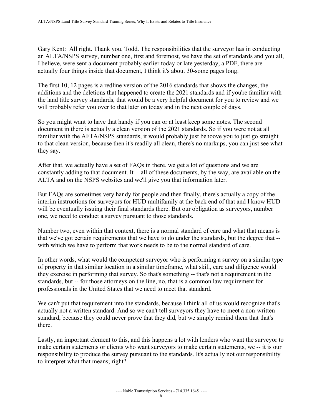Gary Kent: All right. Thank you. Todd. The responsibilities that the surveyor has in conducting an ALTA/NSPS survey, number one, first and foremost, we have the set of standards and you all, I believe, were sent a document probably earlier today or late yesterday, a PDF, there are actually four things inside that document, I think it's about 30-some pages long.

 will probably refer you over to that later on today and in the next couple of days. The first 10, 12 pages is a redline version of the 2016 standards that shows the changes, the additions and the deletions that happened to create the 2021 standards and if you're familiar with the land title survey standards, that would be a very helpful document for you to review and we

 document in there is actually a clean version of the 2021 standards. So if you were not at all So you might want to have that handy if you can or at least keep some notes. The second familiar with the AFTA/NSPS standards, it would probably just behoove you to just go straight to that clean version, because then it's readily all clean, there's no markups, you can just see what they say.

 constantly adding to that document. It -- all of these documents, by the way, are available on the ALTA and on the NSPS websites and we'll give you that information later. After that, we actually have a set of FAQs in there, we get a lot of questions and we are

But FAQs are sometimes very handy for people and then finally, there's actually a copy of the interim instructions for surveyors for HUD multifamily at the back end of that and I know HUD will be eventually issuing their final standards there. But our obligation as surveyors, number one, we need to conduct a survey pursuant to those standards.

 that we've got certain requirements that we have to do under the standards, but the degree that -- Number two, even within that context, there is a normal standard of care and what that means is with which we have to perform that work needs to be to the normal standard of care.

 standards, but -- for those attorneys on the line, no, that is a common law requirement for In other words, what would the competent surveyor who is performing a survey on a similar type of property in that similar location in a similar timeframe, what skill, care and diligence would they exercise in performing that survey. So that's something -- that's not a requirement in the professionals in the United States that we need to meet that standard.

We can't put that requirement into the standards, because I think all of us would recognize that's actually not a written standard. And so we can't tell surveyors they have to meet a non-written standard, because they could never prove that they did, but we simply remind them that that's there.

Lastly, an important element to this, and this happens a lot with lenders who want the surveyor to make certain statements or clients who want surveyors to make certain statements, we -- it is our responsibility to produce the survey pursuant to the standards. It's actually not our responsibility to interpret what that means; right?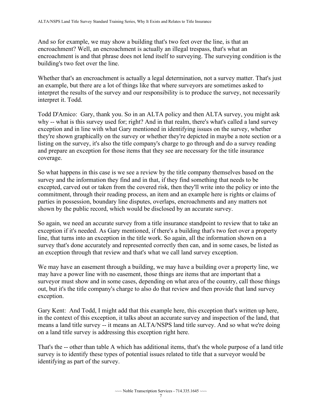And so for example, we may show a building that's two feet over the line, is that an encroachment? Well, an encroachment is actually an illegal trespass, that's what an encroachment is and that phrase does not lend itself to surveying. The surveying condition is the building's two feet over the line.

Whether that's an encroachment is actually a legal determination, not a survey matter. That's just an example, but there are a lot of things like that where surveyors are sometimes asked to interpret the results of the survey and our responsibility is to produce the survey, not necessarily interpret it. Todd.

Todd D'Amico: Gary, thank you. So in an ALTA policy and then ALTA survey, you might ask why -- what is this survey used for; right? And in that realm, there's what's called a land survey exception and in line with what Gary mentioned in identifying issues on the survey, whether they're shown graphically on the survey or whether they're depicted in maybe a note section or a listing on the survey, it's also the title company's charge to go through and do a survey reading and prepare an exception for those items that they see are necessary for the title insurance coverage.

So what happens in this case is we see a review by the title company themselves based on the survey and the information they find and in that, if they find something that needs to be excepted, carved out or taken from the covered risk, then they'll write into the policy or into the commitment, through their reading process, an item and an example here is rights or claims of parties in possession, boundary line disputes, overlaps, encroachments and any matters not shown by the public record, which would be disclosed by an accurate survey.

So again, we need an accurate survey from a title insurance standpoint to review that to take an exception if it's needed. As Gary mentioned, if there's a building that's two feet over a property line, that turns into an exception in the title work. So again, all the information shown on a survey that's done accurately and represented correctly then can, and in some cases, be listed as an exception through that review and that's what we call land survey exception.

 out, but it's the title company's charge to also do that review and then provide that land survey We may have an easement through a building, we may have a building over a property line, we may have a power line with no easement, those things are items that are important that a surveyor must show and in some cases, depending on what area of the country, call those things exception.

Gary Kent: And Todd, I might add that this example here, this exception that's written up here, in the context of this exception, it talks about an accurate survey and inspection of the land, that means a land title survey -- it means an ALTA/NSPS land title survey. And so what we're doing on a land title survey is addressing this exception right here.

 That's the -- other than table A which has additional items, that's the whole purpose of a land title identifying as part of the survey. survey is to identify these types of potential issues related to title that a surveyor would be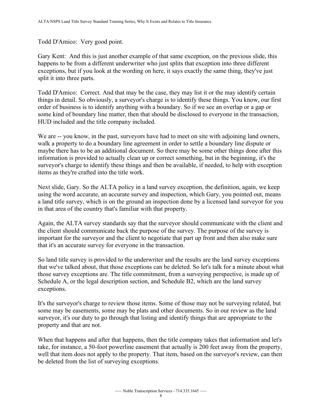Todd D'Amico: Very good point.

Gary Kent: And this is just another example of that same exception, on the previous slide, this happens to be from a different underwriter who just splits that exception into three different exceptions, but if you look at the wording on here, it says exactly the same thing, they've just split it into three parts.

 order of business is to identify anything with a boundary. So if we see an overlap or a gap or Todd D'Amico: Correct. And that may be the case, they may list it or the may identify certain things in detail. So obviously, a surveyor's charge is to identify these things. You know, our first some kind of boundary line matter, then that should be disclosed to everyone in the transaction, HUD included and the title company included.

We are -- you know, in the past, surveyors have had to meet on site with adjoining land owners, walk a property to do a boundary line agreement in order to settle a boundary line dispute or maybe there has to be an additional document. So there may be some other things done after this information is provided to actually clean up or correct something, but in the beginning, it's the surveyor's charge to identify these things and then be available, if needed, to help with exception items as they're crafted into the title work.

Next slide, Gary. So the ALTA policy in a land survey exception, the definition, again, we keep using the word accurate, an accurate survey and inspection, which Gary, you pointed out, means a land title survey, which is on the ground an inspection done by a licensed land surveyor for you in that area of the country that's familiar with that property.

 that it's an accurate survey for everyone in the transaction. Again, the ALTA survey standards say that the surveyor should communicate with the client and the client should communicate back the purpose of the survey. The purpose of the survey is important for the surveyor and the client to negotiate that part up front and then also make sure

So land title survey is provided to the underwriter and the results are the land survey exceptions that we've talked about, that those exceptions can be deleted. So let's talk for a minute about what those survey exceptions are. The title commitment, from a surveying perspective, is made up of Schedule A, or the legal description section, and Schedule B2, which are the land survey exceptions.

 It's the surveyor's charge to review those items. Some of those may not be surveying related, but property and that are not. some may be easements, some may be plats and other documents. So in our review as the land surveyor, it's our duty to go through that listing and identify things that are appropriate to the

When that happens and after that happens, then the title company takes that information and let's take, for instance, a 50-foot powerline easement that actually is 200 feet away from the property, well that item does not apply to the property. That item, based on the surveyor's review, can then be deleted from the list of surveying exceptions.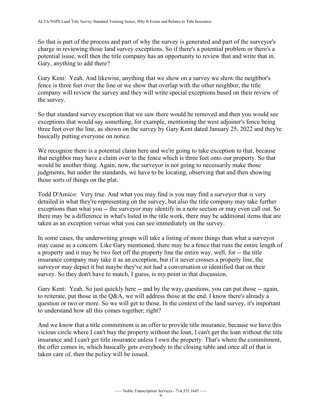So that is part of the process and part of why the survey is generated and part of the surveyor's charge in reviewing those land survey exceptions. So if there's a potential problem or there's a potential issue, well then the title company has an opportunity to review that and write that in. Gary, anything to add there?

Gary Kent: Yeah. And likewise, anything that we show on a survey we show the neighbor's fence is three feet over the line or we show that overlap with the other neighbor, the title company will review the survey and they will write special exceptions based on their review of the survey.

 So that standard survey exception that we saw there would be removed and then you would see exceptions that would say something, for example, mentioning the west adjoiner's fence being three feet over the line, as shown on the survey by Gary Kent dated January 25, 2022 and they're basically putting everyone on notice.

 would be another thing. Again, now, the surveyor is not going to necessarily make those We recognize there is a potential claim here and we're going to take exception to that, because that neighbor may have a claim over to the fence which is three feet onto our property. So that judgments, but under the standards, we have to be locating, observing that and then showing those sorts of things on the plat.

 exceptions than what you -- the surveyor may identify in a note section or may even call out. So Todd D'Amico: Very true. And what you may find is you may find a surveyor that is very detailed in what they're representing on the survey, but also the title company may take further there may be a difference in what's listed in the title work, there may be additional items that are taken as an exception versus what you can see immediately on the survey.

 a property and it may be two feet off the property line the entire way, well, for -- the title In some cases, the underwriting groups will take a listing of more things than what a surveyor may cause as a concern. Like Gary mentioned, there may be a fence that runs the entire length of insurance company may take it as an exception, but if it never crosses a property line, the surveyor may depict it but maybe they've not had a conversation or identified that on their survey. So they don't have to match, I guess, is my point in that discussion.

 Gary Kent: Yeah. So just quickly here -- and by the way, questions, you can put those -- again, to reiterate, put those in the Q&A, we will address those at the end. I know there's already a question or two or more. So we will get to those. In the context of the land survey, it's important to understand how all this comes together; right?

And we know that a title commitment is an offer to provide title insurance, because we have this vicious circle where I can't buy the property without the loan, I can't get the loan without the title insurance and I can't get title insurance unless I own the property. That's where the commitment, the offer comes in, which basically gets everybody to the closing table and once all of that is taken care of, then the policy will be issued.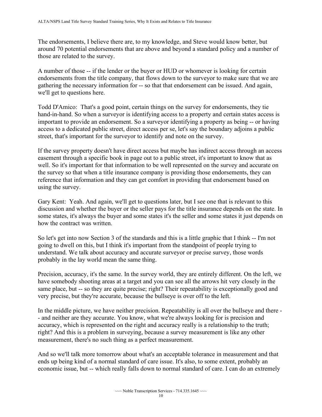The endorsements, I believe there are, to my knowledge, and Steve would know better, but around 70 potential endorsements that are above and beyond a standard policy and a number of those are related to the survey.

 A number of those -- if the lender or the buyer or HUD or whomever is looking for certain gathering the necessary information for -- so that that endorsement can be issued. And again, endorsements from the title company, that flows down to the surveyor to make sure that we are we'll get to questions here.

Todd D'Amico: That's a good point, certain things on the survey for endorsements, they tie hand-in-hand. So when a surveyor is identifying access to a property and certain states access is important to provide an endorsement. So a surveyor identifying a property as being -- or having access to a dedicated public street, direct access per se, let's say the boundary adjoins a public street, that's important for the surveyor to identify and note on the survey.

 easement through a specific book in page out to a public street, it's important to know that as If the survey property doesn't have direct access but maybe has indirect access through an access well. So it's important for that information to be well represented on the survey and accurate on the survey so that when a title insurance company is providing those endorsements, they can reference that information and they can get comfort in providing that endorsement based on using the survey.

Gary Kent: Yeah. And again, we'll get to questions later, but I see one that is relevant to this discussion and whether the buyer or the seller pays for the title insurance depends on the state. In some states, it's always the buyer and some states it's the seller and some states it just depends on how the contract was written.

 So let's get into now Section 3 of the standards and this is a little graphic that I think -- I'm not going to dwell on this, but I think it's important from the standpoint of people trying to understand. We talk about accuracy and accurate surveyor or precise survey, those words probably in the lay world mean the same thing.

Precision, accuracy, it's the same. In the survey world, they are entirely different. On the left, we have somebody shooting areas at a target and you can see all the arrows hit very closely in the same place, but -- so they are quite precise; right? Their repeatability is exceptionally good and very precise, but they're accurate, because the bullseye is over off to the left.

 - and neither are they accurate. You know, what we're always looking for is precision and In the middle picture, we have neither precision. Repeatability is all over the bullseye and there accuracy, which is represented on the right and accuracy really is a relationship to the truth; right? And this is a problem in surveying, because a survey measurement is like any other measurement, there's no such thing as a perfect measurement.

 economic issue, but -- which really falls down to normal standard of care. I can do an extremely And so we'll talk more tomorrow about what's an acceptable tolerance in measurement and that ends up being kind of a normal standard of care issue. It's also, to some extent, probably an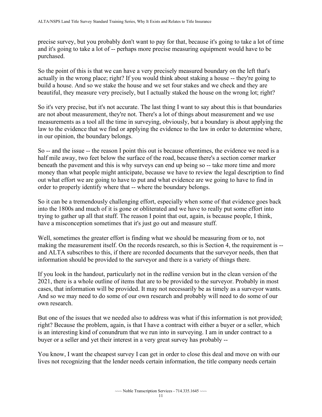and it's going to take a lot of -- perhaps more precise measuring equipment would have to be precise survey, but you probably don't want to pay for that, because it's going to take a lot of time purchased.

 actually in the wrong place; right? If you would think about staking a house -- they're going to So the point of this is that we can have a very precisely measured boundary on the left that's build a house. And so we stake the house and we set four stakes and we check and they are beautiful, they measure very precisely, but I actually staked the house on the wrong lot; right?

So it's very precise, but it's not accurate. The last thing I want to say about this is that boundaries are not about measurement, they're not. There's a lot of things about measurement and we use measurements as a tool all the time in surveying, obviously, but a boundary is about applying the law to the evidence that we find or applying the evidence to the law in order to determine where, in our opinion, the boundary belongs.

 So -- and the issue -- the reason I point this out is because oftentimes, the evidence we need is a half mile away, two feet below the surface of the road, because there's a section corner marker order to properly identify where that -- where the boundary belongs. beneath the pavement and this is why surveys can end up being so -- take more time and more money than what people might anticipate, because we have to review the legal description to find out what effort we are going to have to put and what evidence are we going to have to find in

So it can be a tremendously challenging effort, especially when some of that evidence goes back into the 1800s and much of it is gone or obliterated and we have to really put some effort into trying to gather up all that stuff. The reason I point that out, again, is because people, I think, have a misconception sometimes that it's just go out and measure stuff.

 Well, sometimes the greater effort is finding what we should be measuring from or to, not making the measurement itself. On the records research, so this is Section 4, the requirement is - and ALTA subscribes to this, if there are recorded documents that the surveyor needs, then that information should be provided to the surveyor and there is a variety of things there.

If you look in the handout, particularly not in the redline version but in the clean version of the 2021, there is a whole outline of items that are to be provided to the surveyor. Probably in most cases, that information will be provided. It may not necessarily be as timely as a surveyor wants. And so we may need to do some of our own research and probably will need to do some of our own research.

 buyer or a seller and yet their interest in a very great survey has probably -- But one of the issues that we needed also to address was what if this information is not provided; right? Because the problem, again, is that I have a contract with either a buyer or a seller, which is an interesting kind of conundrum that we run into in surveying. I am in under contract to a

You know, I want the cheapest survey I can get in order to close this deal and move on with our lives not recognizing that the lender needs certain information, the title company needs certain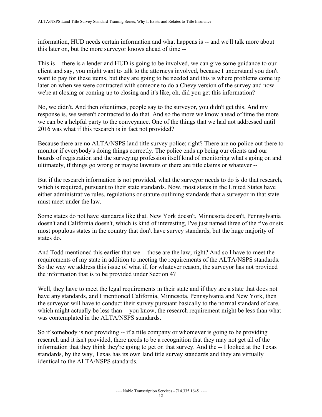information, HUD needs certain information and what happens is -- and we'll talk more about this later on, but the more surveyor knows ahead of time --

we're at closing or coming up to closing and it's like, oh, did you get this information? This is -- there is a lender and HUD is going to be involved, we can give some guidance to our client and say, you might want to talk to the attorneys involved, because I understand you don't want to pay for these items, but they are going to be needed and this is where problems come up later on when we were contracted with someone to do a Chevy version of the survey and now

No, we didn't. And then oftentimes, people say to the surveyor, you didn't get this. And my response is, we weren't contracted to do that. And so the more we know ahead of time the more we can be a helpful party to the conveyance. One of the things that we had not addressed until 2016 was what if this research is in fact not provided?

 ultimately, if things go wrong or maybe lawsuits or there are title claims or whatever -- Because there are no ALTA/NSPS land title survey police; right? There are no police out there to monitor if everybody's doing things correctly. The police ends up being our clients and our boards of registration and the surveying profession itself kind of monitoring what's going on and

But if the research information is not provided, what the surveyor needs to do is do that research, which is required, pursuant to their state standards. Now, most states in the United States have either administrative rules, regulations or statute outlining standards that a surveyor in that state must meet under the law.

Some states do not have standards like that. New York doesn't, Minnesota doesn't, Pennsylvania doesn't and California doesn't, which is kind of interesting, I've just named three of the five or six most populous states in the country that don't have survey standards, but the huge majority of states do.

 And Todd mentioned this earlier that we -- those are the law; right? And so I have to meet the requirements of my state in addition to meeting the requirements of the ALTA/NSPS standards. So the way we address this issue of what if, for whatever reason, the surveyor has not provided the information that is to be provided under Section 4?

Well, they have to meet the legal requirements in their state and if they are a state that does not have any standards, and I mentioned California, Minnesota, Pennsylvania and New York, then the surveyor will have to conduct their survey pursuant basically to the normal standard of care, which might actually be less than -- you know, the research requirement might be less than what was contemplated in the ALTA/NSPS standards.

 information that they think they're going to get on that survey. And the -- I looked at the Texas So if somebody is not providing -- if a title company or whomever is going to be providing research and it isn't provided, there needs to be a recognition that they may not get all of the standards, by the way, Texas has its own land title survey standards and they are virtually identical to the ALTA/NSPS standards.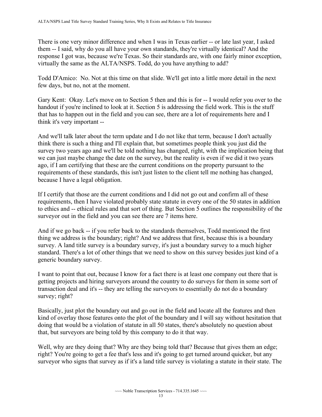There is one very minor difference and when I was in Texas earlier -- or late last year, I asked them -- I said, why do you all have your own standards, they're virtually identical? And the response I got was, because we're Texas. So their standards are, with one fairly minor exception, virtually the same as the ALTA/NSPS. Todd, do you have anything to add?

Todd D'Amico: No. Not at this time on that slide. We'll get into a little more detail in the next few days, but no, not at the moment.

 Gary Kent: Okay. Let's move on to Section 5 then and this is for -- I would refer you over to the think it's very important - handout if you're inclined to look at it. Section 5 is addressing the field work. This is the stuff that has to happen out in the field and you can see, there are a lot of requirements here and I

And we'll talk later about the term update and I do not like that term, because I don't actually think there is such a thing and I'll explain that, but sometimes people think you just did the survey two years ago and we'll be told nothing has changed, right, with the implication being that we can just maybe change the date on the survey, but the reality is even if we did it two years ago, if I am certifying that these are the current conditions on the property pursuant to the requirements of these standards, this isn't just listen to the client tell me nothing has changed, because I have a legal obligation.

If I certify that those are the current conditions and I did not go out and confirm all of these requirements, then I have violated probably state statute in every one of the 50 states in addition to ethics and -- ethical rules and that sort of thing. But Section 5 outlines the responsibility of the surveyor out in the field and you can see there are 7 items here.

And if we go back -- if you refer back to the standards themselves, Todd mentioned the first thing we address is the boundary; right? And we address that first, because this is a boundary survey. A land title survey is a boundary survey, it's just a boundary survey to a much higher standard. There's a lot of other things that we need to show on this survey besides just kind of a generic boundary survey.

 transaction deal and it's -- they are telling the surveyors to essentially do not do a boundary I want to point that out, because I know for a fact there is at least one company out there that is getting projects and hiring surveyors around the country to do surveys for them in some sort of survey; right?

Basically, just plot the boundary out and go out in the field and locate all the features and then kind of overlay those features onto the plot of the boundary and I will say without hesitation that doing that would be a violation of statute in all 50 states, there's absolutely no question about that, but surveyors are being told by this company to do it that way.

Well, why are they doing that? Why are they being told that? Because that gives them an edge; right? You're going to get a fee that's less and it's going to get turned around quicker, but any surveyor who signs that survey as if it's a land title survey is violating a statute in their state. The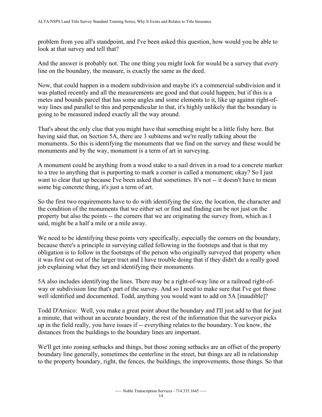problem from you all's standpoint, and I've been asked this question, how would you be able to look at that survey and tell that?

And the answer is probably not. The one thing you might look for would be a survey that every line on the boundary, the measure, is exactly the same as the deed.

Now, that could happen in a modern subdivision and maybe it's a commercial subdivision and it was platted recently and all the measurements are good and that could happen, but if this is a metes and bounds parcel that has some angles and some elements to it, like up against right-ofway lines and parallel to this and perpendicular to that, it's highly unlikely that the boundary is going to be measured indeed exactly all the way around.

That's about the only clue that you might have that something might be a little fishy here. But having said that, on Section 5A, there are 3 subitems and we're really talking about the monuments. So this is identifying the monuments that we find on the survey and these would be monuments and by the way, monument is a term of art in surveying.

 want to clear that up because I've been asked that sometimes. It's not -- it doesn't have to mean A monument could be anything from a wood stake to a nail driven in a road to a concrete marker to a tree to anything that is purporting to mark a corner is called a monument; okay? So I just some big concrete thing, it's just a term of art.

 property but also the points -- the corners that we are originating the survey from, which as I So the first two requirements have to do with identifying the size, the location, the character and the condition of the monuments that we either set or find and finding can be not just on the said, might be a half a mile or a mile away.

We need to be identifying these points very specifically, especially the corners on the boundary, because there's a principle in surveying called following in the footsteps and that is that my obligation is to follow in the footsteps of the person who originally surveyed that property when it was first cut out of the larger tract and I have trouble doing that if they didn't do a really good job explaining what they set and identifying their monuments.

5A also includes identifying the lines. There may be a right-of-way line or a railroad right-ofway or subdivision line that's part of the survey. And so I need to make sure that I've got those well identified and documented. Todd, anything you would want to add on 5A [inaudible]?

 up in the field really, you have issues if -- everything relates to the boundary. You know, the Todd D'Amico: Well, you make a great point about the boundary and I'll just add to that for just a minute, that without an accurate boundary, the rest of the information that the surveyor picks distances from the buildings to the boundary lines are important.

 We'll get into zoning setbacks and things, but those zoning setbacks are an offset of the property boundary line generally, sometimes the centerline in the street, but things are all in relationship to the property boundary, right, the fences, the buildings, the improvements, those things. So that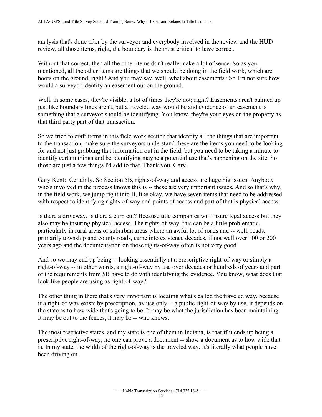analysis that's done after by the surveyor and everybody involved in the review and the HUD review, all those items, right, the boundary is the most critical to have correct.

Without that correct, then all the other items don't really make a lot of sense. So as you mentioned, all the other items are things that we should be doing in the field work, which are boots on the ground; right? And you may say, well, what about easements? So I'm not sure how would a surveyor identify an easement out on the ground.

Well, in some cases, they're visible, a lot of times they're not; right? Easements aren't painted up just like boundary lines aren't, but a traveled way would be and evidence of an easement is something that a surveyor should be identifying. You know, they're your eyes on the property as that third party part of that transaction.

So we tried to craft items in this field work section that identify all the things that are important to the transaction, make sure the surveyors understand these are the items you need to be looking for and not just grabbing that information out in the field, but you need to be taking a minute to identify certain things and be identifying maybe a potential use that's happening on the site. So those are just a few things I'd add to that. Thank you, Gary.

Gary Kent: Certainly. So Section 5B, rights-of-way and access are huge big issues. Anybody who's involved in the process knows this is -- these are very important issues. And so that's why, in the field work, we jump right into B, like okay, we have seven items that need to be addressed with respect to identifying rights-of-way and points of access and part of that is physical access.

 particularly in rural areas or suburban areas where an awful lot of roads and -- well, roads, Is there a driveway, is there a curb cut? Because title companies will insure legal access but they also may be insuring physical access. The rights-of-way, this can be a little problematic, primarily township and county roads, came into existence decades, if not well over 100 or 200 years ago and the documentation on those rights-of-way often is not very good.

 right-of-way -- in other words, a right-of-way by use over decades or hundreds of years and part And so we may end up being -- looking essentially at a prescriptive right-of-way or simply a of the requirements from 5B have to do with identifying the evidence. You know, what does that look like people are using as right-of-way?

 It may be out to the fences, it may be -- who knows. The other thing in there that's very important is locating what's called the traveled way, because if a right-of-way exists by prescription, by use only -- a public right-of-way by use, it depends on the state as to how wide that's going to be. It may be what the jurisdiction has been maintaining.

 prescriptive right-of-way, no one can prove a document -- show a document as to how wide that The most restrictive states, and my state is one of them in Indiana, is that if it ends up being a is. In my state, the width of the right-of-way is the traveled way. It's literally what people have been driving on.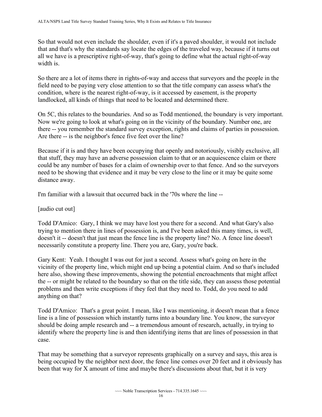So that would not even include the shoulder, even if it's a paved shoulder, it would not include that and that's why the standards say locate the edges of the traveled way, because if it turns out all we have is a prescriptive right-of-way, that's going to define what the actual right-of-way width is.

So there are a lot of items there in rights-of-way and access that surveyors and the people in the field need to be paying very close attention to so that the title company can assess what's the condition, where is the nearest right-of-way, is it accessed by easement, is the property landlocked, all kinds of things that need to be located and determined there.

Are there -- is the neighbor's fence five feet over the line? On 5C, this relates to the boundaries. And so as Todd mentioned, the boundary is very important. Now we're going to look at what's going on in the vicinity of the boundary. Number one, are there -- you remember the standard survey exception, rights and claims of parties in possession.

 could be any number of bases for a claim of ownership over to that fence. And so the surveyors Because if it is and they have been occupying that openly and notoriously, visibly exclusive, all that stuff, they may have an adverse possession claim to that or an acquiescence claim or there need to be showing that evidence and it may be very close to the line or it may be quite some distance away.

I'm familiar with a lawsuit that occurred back in the '70s where the line --

[audio cut out]

 doesn't it -- doesn't that just mean the fence line is the property line? No. A fence line doesn't necessarily constitute a property line. There you are, Gary, you're back. Todd D'Amico: Gary, I think we may have lost you there for a second. And what Gary's also trying to mention there in lines of possession is, and I've been asked this many times, is well,

Gary Kent: Yeah. I thought I was out for just a second. Assess what's going on here in the vicinity of the property line, which might end up being a potential claim. And so that's included here also, showing these improvements, showing the potential encroachments that might affect the -- or might be related to the boundary so that on the title side, they can assess those potential problems and then write exceptions if they feel that they need to. Todd, do you need to add anything on that?

 Todd D'Amico: That's a great point. I mean, like I was mentioning, it doesn't mean that a fence line is a line of possession which instantly turns into a boundary line. You know, the surveyor should be doing ample research and -- a tremendous amount of research, actually, in trying to identify where the property line is and then identifying items that are lines of possession in that case.

That may be something that a surveyor represents graphically on a survey and says, this area is being occupied by the neighbor next door, the fence line comes over 20 feet and it obviously has been that way for X amount of time and maybe there's discussions about that, but it is very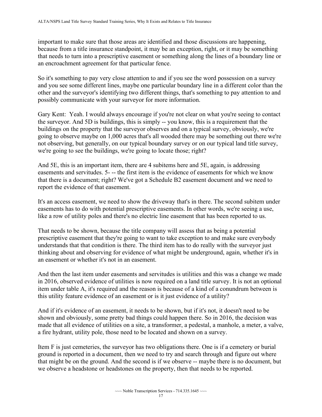important to make sure that those areas are identified and those discussions are happening, because from a title insurance standpoint, it may be an exception, right, or it may be something that needs to turn into a prescriptive easement or something along the lines of a boundary line or an encroachment agreement for that particular fence.

 and you see some different lines, maybe one particular boundary line in a different color than the So it's something to pay very close attention to and if you see the word possession on a survey other and the surveyor's identifying two different things, that's something to pay attention to and possibly communicate with your surveyor for more information.

Gary Kent: Yeah. I would always encourage if you're not clear on what you're seeing to contact the surveyor. And 5D is buildings, this is simply -- you know, this is a requirement that the buildings on the property that the surveyor observes and on a typical survey, obviously, we're going to observe maybe on 1,000 acres that's all wooded there may be something out there we're not observing, but generally, on our typical boundary survey or on our typical land title survey, we're going to see the buildings, we're going to locate those; right?

 easements and servitudes. 5- -- the first item is the evidence of easements for which we know And 5E, this is an important item, there are 4 subitems here and 5E, again, is addressing that there is a document; right? We've got a Schedule B2 easement document and we need to report the evidence of that easement.

It's an access easement, we need to show the driveway that's in there. The second subitem under easements has to do with potential prescriptive easements. In other words, we're seeing a use, like a row of utility poles and there's no electric line easement that has been reported to us.

That needs to be shown, because the title company will assess that as being a potential prescriptive easement that they're going to want to take exception to and make sure everybody understands that that condition is there. The third item has to do really with the surveyor just thinking about and observing for evidence of what might be underground, again, whether it's in an easement or whether it's not in an easement.

 this utility feature evidence of an easement or is it just evidence of a utility? And then the last item under easements and servitudes is utilities and this was a change we made in 2016, observed evidence of utilities is now required on a land title survey. It is not an optional item under table A, it's required and the reason is because of a kind of a conundrum between is

 made that all evidence of utilities on a site, a transformer, a pedestal, a manhole, a meter, a valve, And if it's evidence of an easement, it needs to be shown, but if it's not, it doesn't need to be shown and obviously, some pretty bad things could happen there. So in 2016, the decision was a fire hydrant, utility pole, those need to be located and shown on a survey.

 that might be on the ground. And the second is if we observe -- maybe there is no document, but we observe a headstone or headstones on the property, then that needs to be reported. Item F is just cemeteries, the surveyor has two obligations there. One is if a cemetery or burial ground is reported in a document, then we need to try and search through and figure out where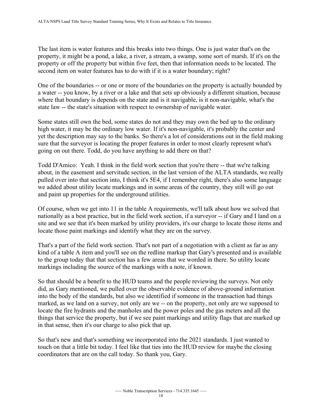second item on water features has to do with if it is a water boundary; right? The last item is water features and this breaks into two things. One is just water that's on the property, it might be a pond, a lake, a river, a stream, a swamp, some sort of marsh. If it's on the property or off the property but within five feet, then that information needs to be located. The

 a water -- you know, by a river or a lake and that sets up obviously a different situation, because state law -- the state's situation with respect to ownership of navigable water. One of the boundaries -- or one or more of the boundaries on the property is actually bounded by where that boundary is depends on the state and is it navigable, is it non-navigable, what's the

Some states still own the bed, some states do not and they may own the bed up to the ordinary high water, it may be the ordinary low water. If it's non-navigable, it's probably the center and yet the description may say to the banks. So there's a lot of considerations out in the field making sure that the surveyor is locating the proper features in order to most clearly represent what's going on out there. Todd, do you have anything to add there on that?

 Todd D'Amico: Yeah. I think in the field work section that you're there -- that we're talking about, in the easement and servitude section, in the last version of the ALTA standards, we really pulled over into that section into, I think it's 5E4, if I remember right, there's also some language we added about utility locate markings and in some areas of the country, they still will go out and paint up properties for the underground utilities.

 nationally as a best practice, but in the field work section, if a surveyor -- if Gary and I land on a Of course, when we get into 11 in the table A requirements, we'll talk about how we solved that site and we see that it's been marked by utility providers, it's our charge to locate those items and locate those paint markings and identify what they are on the survey.

 That's a part of the field work section. That's not part of a negotiation with a client as far as any kind of a table A item and you'll see on the redline markup that Gary's presented and is available to the group today that that section has a few areas that we worded in there. So utility locate markings including the source of the markings with a note, if known.

 marked, as we land on a survey, not only are we -- on the property, not only are we supposed to in that sense, then it's our charge to also pick that up. So that should be a benefit to the HUD teams and the people reviewing the surveys. Not only did, as Gary mentioned, we pulled over the observable evidence of above-ground information into the body of the standards, but also we identified if someone in the transaction had things locate the fire hydrants and the manholes and the power poles and the gas meters and all the things that service the property, but if we see paint markings and utility flags that are marked up

So that's new and that's something we incorporated into the 2021 standards. I just wanted to touch on that a little bit today. I feel like that ties into the HUD review for maybe the closing coordinators that are on the call today. So thank you, Gary.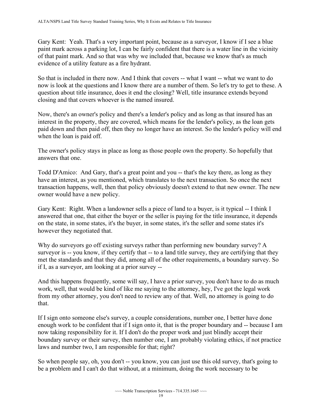Gary Kent: Yeah. That's a very important point, because as a surveyor, I know if I see a blue paint mark across a parking lot, I can be fairly confident that there is a water line in the vicinity of that paint mark. And so that was why we included that, because we know that's as much evidence of a utility feature as a fire hydrant.

 So that is included in there now. And I think that covers -- what I want -- what we want to do now is look at the questions and I know there are a number of them. So let's try to get to these. A question about title insurance, does it end the closing? Well, title insurance extends beyond closing and that covers whoever is the named insured.

 Now, there's an owner's policy and there's a lender's policy and as long as that insured has an interest in the property, they are covered, which means for the lender's policy, as the loan gets paid down and then paid off, then they no longer have an interest. So the lender's policy will end when the loan is paid off.

The owner's policy stays in place as long as those people own the property. So hopefully that answers that one.

Todd D'Amico: And Gary, that's a great point and you -- that's the key there, as long as they have an interest, as you mentioned, which translates to the next transaction. So once the next transaction happens, well, then that policy obviously doesn't extend to that new owner. The new owner would have a new policy.

 Gary Kent: Right. When a landowner sells a piece of land to a buyer, is it typical -- I think I answered that one, that either the buyer or the seller is paying for the title insurance, it depends on the state, in some states, it's the buyer, in some states, it's the seller and some states it's however they negotiated that.

 surveyor is -- you know, if they certify that -- to a land title survey, they are certifying that they if I, as a surveyor, am looking at a prior survey -- Why do surveyors go off existing surveys rather than performing new boundary survey? A met the standards and that they did, among all of the other requirements, a boundary survey. So

And this happens frequently, some will say, I have a prior survey, you don't have to do as much work, well, that would be kind of like me saying to the attorney, hey, I've got the legal work from my other attorney, you don't need to review any of that. Well, no attorney is going to do that.

If I sign onto someone else's survey, a couple considerations, number one, I better have done enough work to be confident that if I sign onto it, that is the proper boundary and -- because I am now taking responsibility for it. If I don't do the proper work and just blindly accept their boundary survey or their survey, then number one, I am probably violating ethics, if not practice laws and number two, I am responsible for that; right?

 So when people say, oh, you don't -- you know, you can just use this old survey, that's going to be a problem and I can't do that without, at a minimum, doing the work necessary to be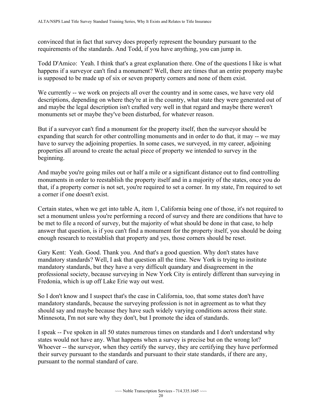convinced that in fact that survey does properly represent the boundary pursuant to the requirements of the standards. And Todd, if you have anything, you can jump in.

Todd D'Amico: Yeah. I think that's a great explanation there. One of the questions I like is what happens if a surveyor can't find a monument? Well, there are times that an entire property maybe is supposed to be made up of six or seven property corners and none of them exist.

We currently -- we work on projects all over the country and in some cases, we have very old descriptions, depending on where they're at in the country, what state they were generated out of and maybe the legal description isn't crafted very well in that regard and maybe there weren't monuments set or maybe they've been disturbed, for whatever reason.

But if a surveyor can't find a monument for the property itself, then the surveyor should be expanding that search for other controlling monuments and in order to do that, it may -- we may have to survey the adjoining properties. In some cases, we surveyed, in my career, adjoining properties all around to create the actual piece of property we intended to survey in the beginning.

And maybe you're going miles out or half a mile or a significant distance out to find controlling monuments in order to reestablish the property itself and in a majority of the states, once you do that, if a property corner is not set, you're required to set a corner. In my state, I'm required to set a corner if one doesn't exist.

 set a monument unless you're performing a record of survey and there are conditions that have to Certain states, when we get into table A, item 1, California being one of those, it's not required to be met to file a record of survey, but the majority of what should be done in that case, to help answer that question, is if you can't find a monument for the property itself, you should be doing enough research to reestablish that property and yes, those corners should be reset.

Gary Kent: Yeah. Good. Thank you. And that's a good question. Why don't states have mandatory standards? Well, I ask that question all the time. New York is trying to institute mandatory standards, but they have a very difficult quandary and disagreement in the professional society, because surveying in New York City is entirely different than surveying in Fredonia, which is up off Lake Erie way out west.

So I don't know and I suspect that's the case in California, too, that some states don't have mandatory standards, because the surveying profession is not in agreement as to what they should say and maybe because they have such widely varying conditions across their state. Minnesota, I'm not sure why they don't, but I promote the idea of standards.

 states would not have any. What happens when a survey is precise but on the wrong lot? pursuant to the normal standard of care. I speak -- I've spoken in all 50 states numerous times on standards and I don't understand why Whoever -- the surveyor, when they certify the survey, they are certifying they have performed their survey pursuant to the standards and pursuant to their state standards, if there are any,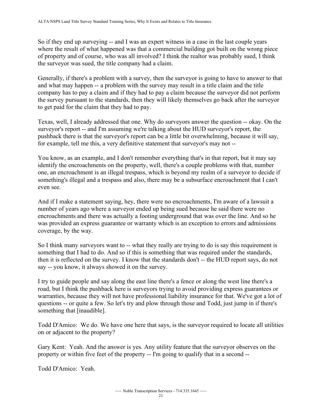So if they end up surveying -- and I was an expert witness in a case in the last couple years where the result of what happened was that a commercial building got built on the wrong piece of property and of course, who was all involved? I think the realtor was probably sued, I think the surveyor was sued, the title company had a claim.

Generally, if there's a problem with a survey, then the surveyor is going to have to answer to that and what may happen -- a problem with the survey may result in a title claim and the title company has to pay a claim and if they had to pay a claim because the surveyor did not perform the survey pursuant to the standards, then they will likely themselves go back after the surveyor to get paid for the claim that they had to pay.

 surveyor's report -- and I'm assuming we're talking about the HUD surveyor's report, the for example, tell me this, a very definitive statement that surveyor's may not -- Texas, well, I already addressed that one. Why do surveyors answer the question -- okay. On the pushback there is that the surveyor's report can be a little bit overwhelming, because it will say,

 identify the encroachments on the property, well, there's a couple problems with that, number something's illegal and a trespass and also, there may be a subsurface encroachment that I can't You know, as an example, and I don't remember everything that's in that report, but it may say one, an encroachment is an illegal trespass, which is beyond my realm of a surveyor to decide if even see.

And if I make a statement saying, hey, there were no encroachments, I'm aware of a lawsuit a number of years ago where a surveyor ended up being sued because he said there were no encroachments and there was actually a footing underground that was over the line. And so he was provided an express guarantee or warranty which is an exception to errors and admissions coverage, by the way.

 then it is reflected on the survey. I know that the standards don't -- the HUD report says, do not So I think many surveyors want to -- what they really are trying to do is say this requirement is something that I had to do. And so if this is something that was required under the standards, say -- you know, it always showed it on the survey.

 warranties, because they will not have professional liability insurance for that. We've got a lot of questions -- or quite a few. So let's try and plow through those and Todd, just jump in if there's I try to guide people and say along the east line there's a fence or along the west line there's a road, but I think the pushback here is surveyors trying to avoid providing express guarantees or something that [inaudible].

on or adjacent to the property? Todd D'Amico: We do. We have one here that says, is the surveyor required to locate all utilities

 property or within five feet of the property -- I'm going to qualify that in a second -- Gary Kent: Yeah. And the answer is yes. Any utility feature that the surveyor observes on the

Todd D'Amico: Yeah.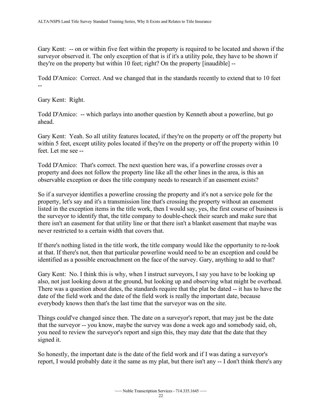Gary Kent: -- on or within five feet within the property is required to be located and shown if the they're on the property but within 10 feet; right? On the property [inaudible] - surveyor observed it. The only exception of that is if it's a utility pole, they have to be shown if

-- Todd D'Amico: Correct. And we changed that in the standards recently to extend that to 10 feet

Gary Kent: Right.

 Todd D'Amico: -- which parlays into another question by Kenneth about a powerline, but go ahead.

 Gary Kent: Yeah. So all utility features located, if they're on the property or off the property but feet. Let me see - within 5 feet, except utility poles located if they're on the property or off the property within 10

 observable exception or does the title company needs to research if an easement exists? Todd D'Amico: That's correct. The next question here was, if a powerline crosses over a property and does not follow the property line like all the other lines in the area, is this an

So if a surveyor identifies a powerline crossing the property and it's not a service pole for the property, let's say and it's a transmission line that's crossing the property without an easement listed in the exception items in the title work, then I would say, yes, the first course of business is the surveyor to identify that, the title company to double-check their search and make sure that there isn't an easement for that utility line or that there isn't a blanket easement that maybe was never restricted to a certain width that covers that.

If there's nothing listed in the title work, the title company would like the opportunity to re-look at that. If there's not, then that particular powerline would need to be an exception and could be identified as a possible encroachment on the face of the survey. Gary, anything to add to that?

 There was a question about dates, the standards require that the plat be dated -- it has to have the Gary Kent: No. I think this is why, when I instruct surveyors, I say you have to be looking up also, not just looking down at the ground, but looking up and observing what might be overhead. date of the field work and the date of the field work is really the important date, because everybody knows then that's the last time that the surveyor was on the site.

 that the surveyor -- you know, maybe the survey was done a week ago and somebody said, oh, Things could've changed since then. The date on a surveyor's report, that may just be the date you need to review the surveyor's report and sign this, they may date that the date that they signed it.

 So honestly, the important date is the date of the field work and if I was dating a surveyor's report, I would probably date it the same as my plat, but there isn't any -- I don't think there's any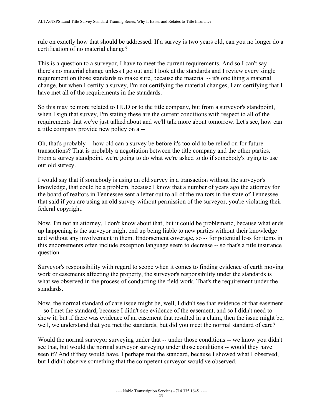rule on exactly how that should be addressed. If a survey is two years old, can you no longer do a certification of no material change?

 change, but when I certify a survey, I'm not certifying the material changes, I am certifying that I This is a question to a surveyor, I have to meet the current requirements. And so I can't say there's no material change unless I go out and I look at the standards and I review every single requirement on those standards to make sure, because the material -- it's one thing a material have met all of the requirements in the standards.

 a title company provide new policy on a -- So this may be more related to HUD or to the title company, but from a surveyor's standpoint, when I sign that survey, I'm stating these are the current conditions with respect to all of the requirements that we've just talked about and we'll talk more about tomorrow. Let's see, how can

Oh, that's probably -- how old can a survey be before it's too old to be relied on for future transactions? That is probably a negotiation between the title company and the other parties. From a survey standpoint, we're going to do what we're asked to do if somebody's trying to use our old survey.

I would say that if somebody is using an old survey in a transaction without the surveyor's knowledge, that could be a problem, because I know that a number of years ago the attorney for the board of realtors in Tennessee sent a letter out to all of the realtors in the state of Tennessee that said if you are using an old survey without permission of the surveyor, you're violating their federal copyright.

 and without any involvement in them. Endorsement coverage, so -- for potential loss for items in this endorsements often include exception language seem to decrease -- so that's a title insurance Now, I'm not an attorney, I don't know about that, but it could be problematic, because what ends up happening is the surveyor might end up being liable to new parties without their knowledge question.

 what we observed in the process of conducting the field work. That's the requirement under the Surveyor's responsibility with regard to scope when it comes to finding evidence of earth moving work or easements affecting the property, the surveyor's responsibility under the standards is standards.

 well, we understand that you met the standards, but did you meet the normal standard of care? Now, the normal standard of care issue might be, well, I didn't see that evidence of that easement -- so I met the standard, because I didn't see evidence of the easement, and so I didn't need to show it, but if there was evidence of an easement that resulted in a claim, then the issue might be,

 Would the normal surveyor surveying under that -- under those conditions -- we know you didn't see that, but would the normal surveyor surveying under those conditions -- would they have seen it? And if they would have, I perhaps met the standard, because I showed what I observed, but I didn't observe something that the competent surveyor would've observed.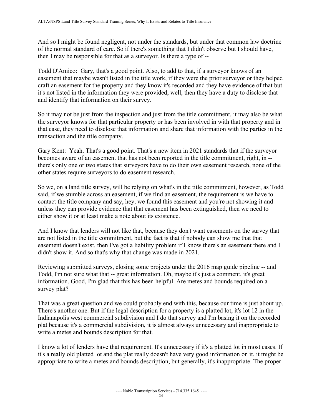then I may be responsible for that as a surveyor. Is there a type of -- And so I might be found negligent, not under the standards, but under that common law doctrine of the normal standard of care. So if there's something that I didn't observe but I should have,

Todd D'Amico: Gary, that's a good point. Also, to add to that, if a surveyor knows of an easement that maybe wasn't listed in the title work, if they were the prior surveyor or they helped craft an easement for the property and they know it's recorded and they have evidence of that but it's not listed in the information they were provided, well, then they have a duty to disclose that and identify that information on their survey.

So it may not be just from the inspection and just from the title commitment, it may also be what the surveyor knows for that particular property or has been involved in with that property and in that case, they need to disclose that information and share that information with the parties in the transaction and the title company.

Gary Kent: Yeah. That's a good point. That's a new item in 2021 standards that if the surveyor becomes aware of an easement that has not been reported in the title commitment, right, in - there's only one or two states that surveyors have to do their own easement research, none of the other states require surveyors to do easement research.

 contact the title company and say, hey, we found this easement and you're not showing it and So we, on a land title survey, will be relying on what's in the title commitment, however, as Todd said, if we stumble across an easement, if we find an easement, the requirement is we have to unless they can provide evidence that that easement has been extinguished, then we need to either show it or at least make a note about its existence.

 didn't show it. And so that's why that change was made in 2021. And I know that lenders will not like that, because they don't want easements on the survey that are not listed in the title commitment, but the fact is that if nobody can show me that that easement doesn't exist, then I've got a liability problem if I know there's an easement there and I

 Reviewing submitted surveys, closing some projects under the 2016 map guide pipeline -- and Todd, I'm not sure what that -- great information. Oh, maybe it's just a comment, it's great information. Good, I'm glad that this has been helpful. Are metes and bounds required on a survey plat?

That was a great question and we could probably end with this, because our time is just about up. There's another one. But if the legal description for a property is a platted lot, it's lot 12 in the Indianapolis west commercial subdivision and I do that survey and I'm basing it on the recorded plat because it's a commercial subdivision, it is almost always unnecessary and inappropriate to write a metes and bounds description for that.

I know a lot of lenders have that requirement. It's unnecessary if it's a platted lot in most cases. If it's a really old platted lot and the plat really doesn't have very good information on it, it might be appropriate to write a metes and bounds description, but generally, it's inappropriate. The proper